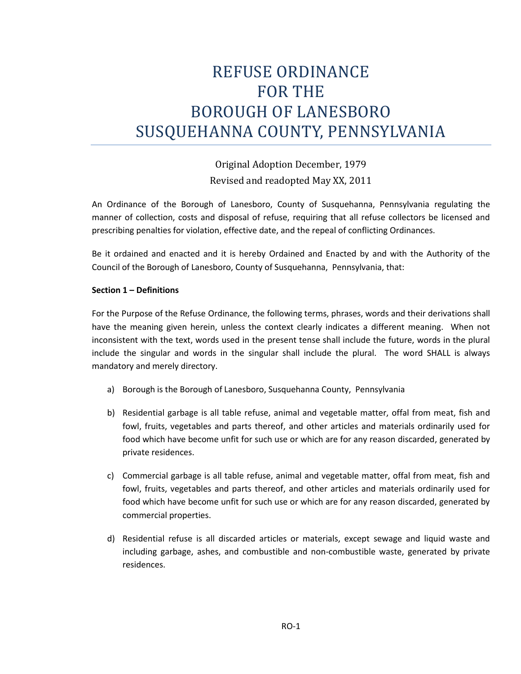# REFUSE ORDINANCE FOR THE BOROUGH OF LANESBORO SUSQUEHANNA COUNTY, PENNSYLVANIA

Original Adoption December, 1979 Revised and readopted May XX, 2011

An Ordinance of the Borough of Lanesboro, County of Susquehanna, Pennsylvania regulating the manner of collection, costs and disposal of refuse, requiring that all refuse collectors be licensed and prescribing penalties for violation, effective date, and the repeal of conflicting Ordinances.

Be it ordained and enacted and it is hereby Ordained and Enacted by and with the Authority of the Council of the Borough of Lanesboro, County of Susquehanna, Pennsylvania, that:

## **Section 1 – Definitions**

For the Purpose of the Refuse Ordinance, the following terms, phrases, words and their derivations shall have the meaning given herein, unless the context clearly indicates a different meaning. When not inconsistent with the text, words used in the present tense shall include the future, words in the plural include the singular and words in the singular shall include the plural. The word SHALL is always mandatory and merely directory.

- a) Borough is the Borough of Lanesboro, Susquehanna County, Pennsylvania
- b) Residential garbage is all table refuse, animal and vegetable matter, offal from meat, fish and fowl, fruits, vegetables and parts thereof, and other articles and materials ordinarily used for food which have become unfit for such use or which are for any reason discarded, generated by private residences.
- c) Commercial garbage is all table refuse, animal and vegetable matter, offal from meat, fish and fowl, fruits, vegetables and parts thereof, and other articles and materials ordinarily used for food which have become unfit for such use or which are for any reason discarded, generated by commercial properties.
- d) Residential refuse is all discarded articles or materials, except sewage and liquid waste and including garbage, ashes, and combustible and non-combustible waste, generated by private residences.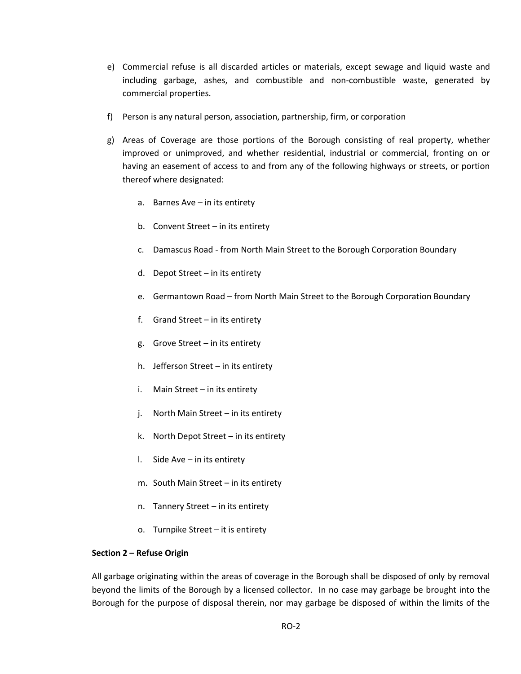- e) Commercial refuse is all discarded articles or materials, except sewage and liquid waste and including garbage, ashes, and combustible and non-combustible waste, generated by commercial properties.
- f) Person is any natural person, association, partnership, firm, or corporation
- g) Areas of Coverage are those portions of the Borough consisting of real property, whether improved or unimproved, and whether residential, industrial or commercial, fronting on or having an easement of access to and from any of the following highways or streets, or portion thereof where designated:
	- a. Barnes Ave in its entirety
	- b. Convent Street in its entirety
	- c. Damascus Road from North Main Street to the Borough Corporation Boundary
	- d. Depot Street in its entirety
	- e. Germantown Road from North Main Street to the Borough Corporation Boundary
	- f. Grand Street in its entirety
	- g. Grove Street in its entirety
	- h. Jefferson Street in its entirety
	- i. Main Street in its entirety
	- j. North Main Street in its entirety
	- k. North Depot Street in its entirety
	- l. Side Ave in its entirety
	- m. South Main Street in its entirety
	- n. Tannery Street in its entirety
	- o. Turnpike Street it is entirety

## **Section 2 – Refuse Origin**

All garbage originating within the areas of coverage in the Borough shall be disposed of only by removal beyond the limits of the Borough by a licensed collector. In no case may garbage be brought into the Borough for the purpose of disposal therein, nor may garbage be disposed of within the limits of the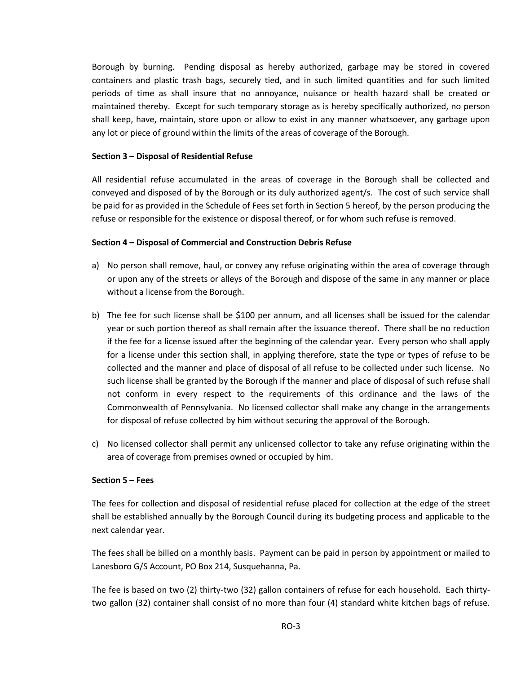Borough by burning. Pending disposal as hereby authorized, garbage may be stored in covered containers and plastic trash bags, securely tied, and in such limited quantities and for such limited periods of time as shall insure that no annoyance, nuisance or health hazard shall be created or maintained thereby. Except for such temporary storage as is hereby specifically authorized, no person shall keep, have, maintain, store upon or allow to exist in any manner whatsoever, any garbage upon any lot or piece of ground within the limits of the areas of coverage of the Borough.

## **Section 3 – Disposal of Residential Refuse**

All residential refuse accumulated in the areas of coverage in the Borough shall be collected and conveyed and disposed of by the Borough or its duly authorized agent/s. The cost of such service shall be paid for as provided in the Schedule of Fees set forth in Section 5 hereof, by the person producing the refuse or responsible for the existence or disposal thereof, or for whom such refuse is removed.

#### **Section 4 – Disposal of Commercial and Construction Debris Refuse**

- a) No person shall remove, haul, or convey any refuse originating within the area of coverage through or upon any of the streets or alleys of the Borough and dispose of the same in any manner or place without a license from the Borough.
- b) The fee for such license shall be \$100 per annum, and all licenses shall be issued for the calendar year or such portion thereof as shall remain after the issuance thereof. There shall be no reduction if the fee for a license issued after the beginning of the calendar year. Every person who shall apply for a license under this section shall, in applying therefore, state the type or types of refuse to be collected and the manner and place of disposal of all refuse to be collected under such license. No such license shall be granted by the Borough if the manner and place of disposal of such refuse shall not conform in every respect to the requirements of this ordinance and the laws of the Commonwealth of Pennsylvania. No licensed collector shall make any change in the arrangements for disposal of refuse collected by him without securing the approval of the Borough.
- c) No licensed collector shall permit any unlicensed collector to take any refuse originating within the area of coverage from premises owned or occupied by him.

#### **Section 5 – Fees**

The fees for collection and disposal of residential refuse placed for collection at the edge of the street shall be established annually by the Borough Council during its budgeting process and applicable to the next calendar year.

The fees shall be billed on a monthly basis. Payment can be paid in person by appointment or mailed to Lanesboro G/S Account, PO Box 214, Susquehanna, Pa.

The fee is based on two (2) thirty-two (32) gallon containers of refuse for each household. Each thirtytwo gallon (32) container shall consist of no more than four (4) standard white kitchen bags of refuse.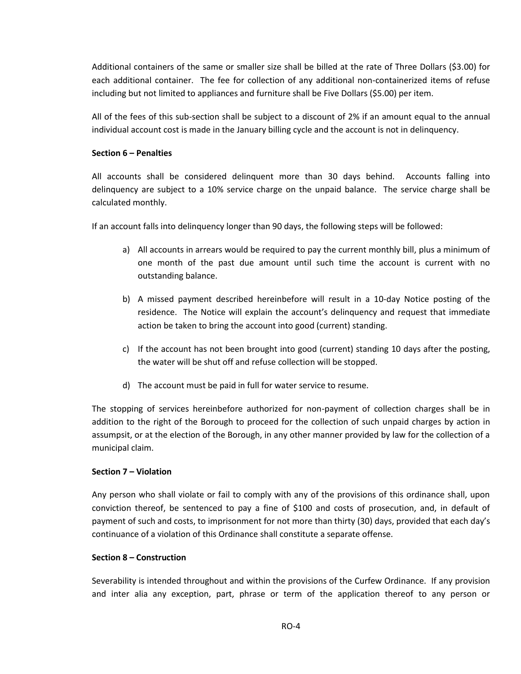Additional containers of the same or smaller size shall be billed at the rate of Three Dollars (\$3.00) for each additional container. The fee for collection of any additional non-containerized items of refuse including but not limited to appliances and furniture shall be Five Dollars (\$5.00) per item.

All of the fees of this sub-section shall be subject to a discount of 2% if an amount equal to the annual individual account cost is made in the January billing cycle and the account is not in delinquency.

# **Section 6 – Penalties**

All accounts shall be considered delinquent more than 30 days behind. Accounts falling into delinquency are subject to a 10% service charge on the unpaid balance. The service charge shall be calculated monthly.

If an account falls into delinquency longer than 90 days, the following steps will be followed:

- a) All accounts in arrears would be required to pay the current monthly bill, plus a minimum of one month of the past due amount until such time the account is current with no outstanding balance.
- b) A missed payment described hereinbefore will result in a 10-day Notice posting of the residence. The Notice will explain the account's delinquency and request that immediate action be taken to bring the account into good (current) standing.
- c) If the account has not been brought into good (current) standing 10 days after the posting, the water will be shut off and refuse collection will be stopped.
- d) The account must be paid in full for water service to resume.

The stopping of services hereinbefore authorized for non-payment of collection charges shall be in addition to the right of the Borough to proceed for the collection of such unpaid charges by action in assumpsit, or at the election of the Borough, in any other manner provided by law for the collection of a municipal claim.

# **Section 7 – Violation**

Any person who shall violate or fail to comply with any of the provisions of this ordinance shall, upon conviction thereof, be sentenced to pay a fine of \$100 and costs of prosecution, and, in default of payment of such and costs, to imprisonment for not more than thirty (30) days, provided that each day's continuance of a violation of this Ordinance shall constitute a separate offense.

## **Section 8 – Construction**

Severability is intended throughout and within the provisions of the Curfew Ordinance. If any provision and inter alia any exception, part, phrase or term of the application thereof to any person or